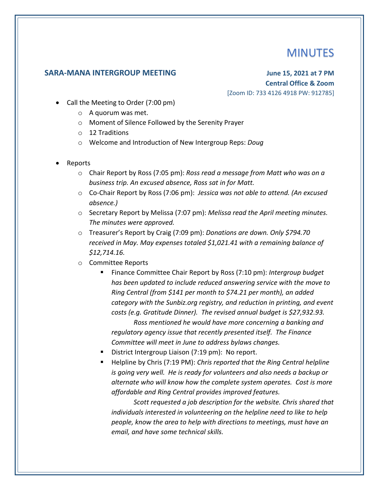## MINUTES

## **SARA-MANA INTERGROUP MEETING June 15, 2021 at 7 PM**

**Central Office & Zoom** [Zoom ID: 733 4126 4918 PW: 912785]

- Call the Meeting to Order (7:00 pm)
	- o A quorum was met.
	- o Moment of Silence Followed by the Serenity Prayer
	- o 12 Traditions
	- o Welcome and Introduction of New Intergroup Reps: *Doug*
- Reports
	- o Chair Report by Ross (7:05 pm): *Ross read a message from Matt who was on a business trip. An excused absence, Ross sat in for Matt.*
	- o Co-Chair Report by Ross (7:06 pm): *Jessica was not able to attend. (An excused absence.)*
	- o Secretary Report by Melissa (7:07 pm): *Melissa read the April meeting minutes. The minutes were approved.*
	- o Treasurer's Report by Craig (7:09 pm): *Donations are down. Only \$794.70 received in May. May expenses totaled \$1,021.41 with a remaining balance of \$12,714.16.*
	- o Committee Reports
		- Finance Committee Chair Report by Ross (7:10 pm): *Intergroup budget has been updated to include reduced answering service with the move to Ring Central (from \$141 per month to \$74.21 per month), an added category with the Sunbiz.org registry, and reduction in printing, and event costs (e.g. Gratitude Dinner). The revised annual budget is \$27,932.93.*

*Ross mentioned he would have more concerning a banking and regulatory agency issue that recently presented itself. The Finance Committee will meet in June to address bylaws changes.*

- District Intergroup Liaison (7:19 pm): No report.
- Helpline by Chris (7:19 PM): *Chris reported that the Ring Central helpline is going very well. He is ready for volunteers and also needs a backup or alternate who will know how the complete system operates. Cost is more affordable and Ring Central provides improved features.*

*Scott requested a job description for the website. Chris shared that individuals interested in volunteering on the helpline need to like to help people, know the area to help with directions to meetings, must have an email, and have some technical skills.*